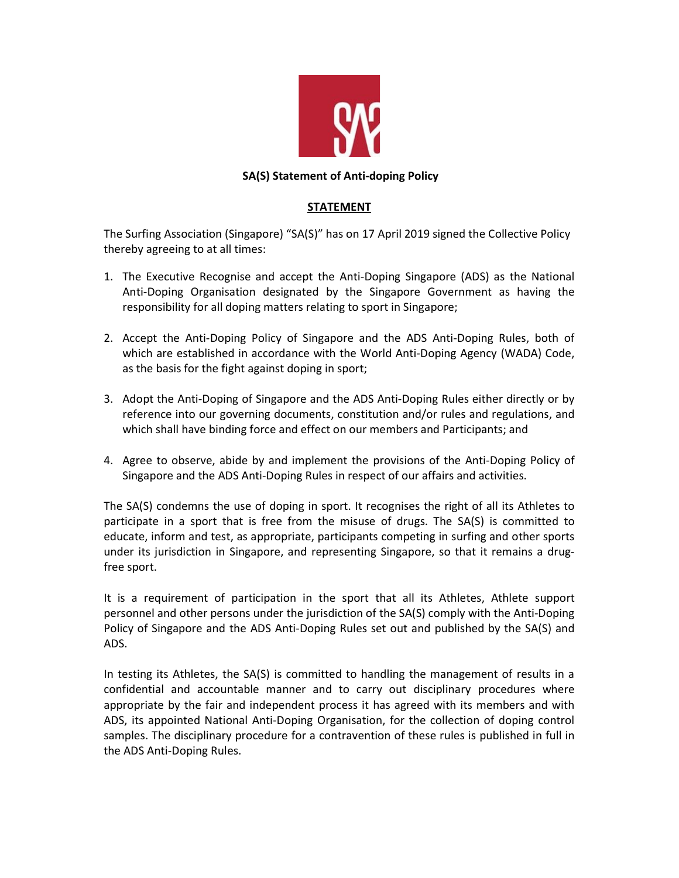

## SA(S) Statement of Anti-doping Policy

## STATEMENT

The Surfing Association (Singapore) "SA(S)" has on 17 April 2019 signed the Collective Policy thereby agreeing to at all times:

- 1. The Executive Recognise and accept the Anti-Doping Singapore (ADS) as the National Anti-Doping Organisation designated by the Singapore Government as having the responsibility for all doping matters relating to sport in Singapore;
- 2. Accept the Anti-Doping Policy of Singapore and the ADS Anti-Doping Rules, both of which are established in accordance with the World Anti-Doping Agency (WADA) Code, as the basis for the fight against doping in sport;
- 3. Adopt the Anti-Doping of Singapore and the ADS Anti-Doping Rules either directly or by reference into our governing documents, constitution and/or rules and regulations, and which shall have binding force and effect on our members and Participants; and
- 4. Agree to observe, abide by and implement the provisions of the Anti-Doping Policy of Singapore and the ADS Anti-Doping Rules in respect of our affairs and activities.

The SA(S) condemns the use of doping in sport. It recognises the right of all its Athletes to participate in a sport that is free from the misuse of drugs. The SA(S) is committed to educate, inform and test, as appropriate, participants competing in surfing and other sports under its jurisdiction in Singapore, and representing Singapore, so that it remains a drugfree sport.

It is a requirement of participation in the sport that all its Athletes, Athlete support personnel and other persons under the jurisdiction of the SA(S) comply with the Anti-Doping Policy of Singapore and the ADS Anti-Doping Rules set out and published by the SA(S) and ADS.

In testing its Athletes, the SA(S) is committed to handling the management of results in a confidential and accountable manner and to carry out disciplinary procedures where appropriate by the fair and independent process it has agreed with its members and with ADS, its appointed National Anti-Doping Organisation, for the collection of doping control samples. The disciplinary procedure for a contravention of these rules is published in full in the ADS Anti-Doping Rules.